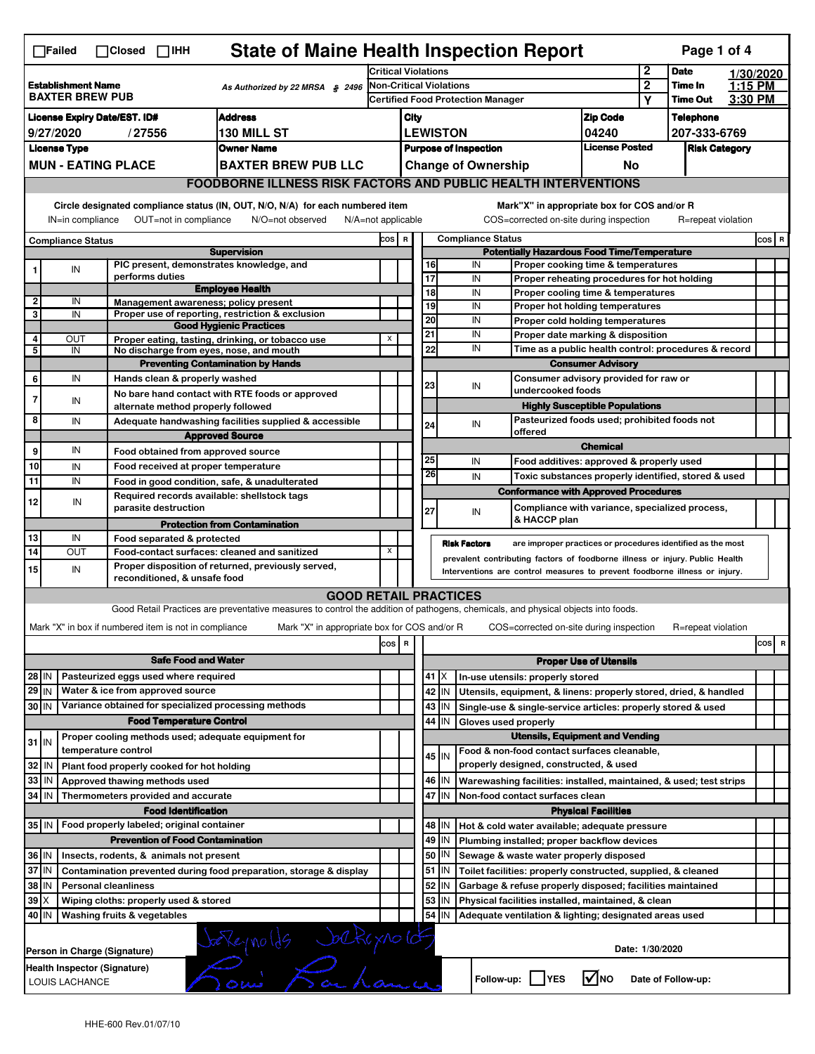| <b>State of Maine Health Inspection Report</b><br>Page 1 of 4<br>$\Box$ Failed<br>$\Box$ IHH<br>$\Box$ Closed                                                                                                                                                                         |                                                                                                                                                                                           |                                                                                                |                                                                                                                                   |         |                              |                                                                                                      |                  |                                                                                                 |                                       |                  |                      |         |           |
|---------------------------------------------------------------------------------------------------------------------------------------------------------------------------------------------------------------------------------------------------------------------------------------|-------------------------------------------------------------------------------------------------------------------------------------------------------------------------------------------|------------------------------------------------------------------------------------------------|-----------------------------------------------------------------------------------------------------------------------------------|---------|------------------------------|------------------------------------------------------------------------------------------------------|------------------|-------------------------------------------------------------------------------------------------|---------------------------------------|------------------|----------------------|---------|-----------|
|                                                                                                                                                                                                                                                                                       |                                                                                                                                                                                           |                                                                                                |                                                                                                                                   |         | <b>Critical Violations</b>   |                                                                                                      |                  |                                                                                                 |                                       |                  | <b>Date</b>          | 1:15 PM | 1/30/2020 |
| <b>Establishment Name</b><br>As Authorized by 22 MRSA \$2496<br><b>BAXTER BREW PUB</b>                                                                                                                                                                                                |                                                                                                                                                                                           |                                                                                                | Non-Critical Violations<br><b>Certified Food Protection Manager</b>                                                               |         |                              |                                                                                                      |                  | $\mathbf 2$<br>Υ                                                                                | Time In<br><b>Time Out</b>            | 3:30 PM          |                      |         |           |
| <b>Address</b><br><b>License Expiry Date/EST. ID#</b>                                                                                                                                                                                                                                 |                                                                                                                                                                                           |                                                                                                |                                                                                                                                   | City    |                              |                                                                                                      |                  | <b>Zip Code</b>                                                                                 |                                       | <b>Telephone</b> |                      |         |           |
| 9/27/2020<br>130 MILL ST<br>/27556                                                                                                                                                                                                                                                    |                                                                                                                                                                                           |                                                                                                |                                                                                                                                   |         |                              | <b>LEWISTON</b>                                                                                      |                  | 04240                                                                                           |                                       | 207-333-6769     |                      |         |           |
|                                                                                                                                                                                                                                                                                       | <b>License Type</b>                                                                                                                                                                       |                                                                                                | <b>Owner Name</b>                                                                                                                 |         | <b>Purpose of Inspection</b> |                                                                                                      |                  |                                                                                                 | <b>License Posted</b>                 |                  | <b>Risk Category</b> |         |           |
|                                                                                                                                                                                                                                                                                       |                                                                                                                                                                                           | <b>MUN - EATING PLACE</b>                                                                      | <b>BAXTER BREW PUB LLC</b>                                                                                                        |         |                              |                                                                                                      |                  | <b>Change of Ownership</b>                                                                      | No                                    |                  |                      |         |           |
|                                                                                                                                                                                                                                                                                       |                                                                                                                                                                                           |                                                                                                | <b>FOODBORNE ILLNESS RISK FACTORS AND PUBLIC HEALTH INTERVENTIONS</b>                                                             |         |                              |                                                                                                      |                  |                                                                                                 |                                       |                  |                      |         |           |
| Circle designated compliance status (IN, OUT, N/O, N/A) for each numbered item<br>Mark"X" in appropriate box for COS and/or R<br>IN=in compliance<br>OUT=not in compliance<br>N/O=not observed<br>COS=corrected on-site during inspection<br>N/A=not applicable<br>R=repeat violation |                                                                                                                                                                                           |                                                                                                |                                                                                                                                   |         |                              |                                                                                                      |                  |                                                                                                 |                                       |                  |                      |         |           |
|                                                                                                                                                                                                                                                                                       | <b>Compliance Status</b>                                                                                                                                                                  |                                                                                                |                                                                                                                                   | COS R   |                              |                                                                                                      |                  | <b>Compliance Status</b>                                                                        |                                       |                  |                      |         | COS R     |
|                                                                                                                                                                                                                                                                                       |                                                                                                                                                                                           | PIC present, demonstrates knowledge, and                                                       | <b>Supervision</b>                                                                                                                |         |                              | <b>Potentially Hazardous Food Time/Temperature</b><br>16<br>IN<br>Proper cooking time & temperatures |                  |                                                                                                 |                                       |                  |                      |         |           |
|                                                                                                                                                                                                                                                                                       | IN                                                                                                                                                                                        | performs duties                                                                                |                                                                                                                                   |         |                              | 17                                                                                                   |                  | IN<br>Proper reheating procedures for hot holding                                               |                                       |                  |                      |         |           |
|                                                                                                                                                                                                                                                                                       |                                                                                                                                                                                           |                                                                                                | <b>Employee Health</b>                                                                                                            |         |                              | 18                                                                                                   |                  | IN<br>Proper cooling time & temperatures                                                        |                                       |                  |                      |         |           |
| 2 <sup>1</sup><br>3                                                                                                                                                                                                                                                                   | IN<br>IN                                                                                                                                                                                  | Management awareness; policy present                                                           | Proper use of reporting, restriction & exclusion                                                                                  |         |                              | 19                                                                                                   |                  | IN<br>Proper hot holding temperatures                                                           |                                       |                  |                      |         |           |
|                                                                                                                                                                                                                                                                                       |                                                                                                                                                                                           |                                                                                                | <b>Good Hygienic Practices</b>                                                                                                    |         |                              | 20<br>21                                                                                             |                  | IN<br>Proper cold holding temperatures<br>IN                                                    |                                       |                  |                      |         |           |
| 4<br>5                                                                                                                                                                                                                                                                                | OUT<br>IN                                                                                                                                                                                 |                                                                                                | Proper eating, tasting, drinking, or tobacco use                                                                                  | X       |                              | 22                                                                                                   |                  | Proper date marking & disposition<br>IN<br>Time as a public health control: procedures & record |                                       |                  |                      |         |           |
|                                                                                                                                                                                                                                                                                       |                                                                                                                                                                                           | No discharge from eyes, nose, and mouth                                                        | <b>Preventing Contamination by Hands</b>                                                                                          |         |                              |                                                                                                      |                  |                                                                                                 | <b>Consumer Advisory</b>              |                  |                      |         |           |
| 6                                                                                                                                                                                                                                                                                     | IN                                                                                                                                                                                        | Hands clean & properly washed                                                                  |                                                                                                                                   |         |                              |                                                                                                      |                  | Consumer advisory provided for raw or                                                           |                                       |                  |                      |         |           |
| $\overline{7}$                                                                                                                                                                                                                                                                        |                                                                                                                                                                                           |                                                                                                | No bare hand contact with RTE foods or approved                                                                                   |         |                              | 23                                                                                                   |                  | IN<br>undercooked foods                                                                         |                                       |                  |                      |         |           |
|                                                                                                                                                                                                                                                                                       | IN                                                                                                                                                                                        | alternate method properly followed                                                             |                                                                                                                                   |         |                              |                                                                                                      |                  |                                                                                                 | <b>Highly Susceptible Populations</b> |                  |                      |         |           |
| 8                                                                                                                                                                                                                                                                                     | IN                                                                                                                                                                                        |                                                                                                | Adequate handwashing facilities supplied & accessible                                                                             |         |                              | 24                                                                                                   |                  | Pasteurized foods used; prohibited foods not<br>IN<br>offered                                   |                                       |                  |                      |         |           |
| 9                                                                                                                                                                                                                                                                                     | IN                                                                                                                                                                                        |                                                                                                | <b>Approved Source</b>                                                                                                            |         |                              |                                                                                                      |                  |                                                                                                 | <b>Chemical</b>                       |                  |                      |         |           |
| 10                                                                                                                                                                                                                                                                                    | IN                                                                                                                                                                                        | Food obtained from approved source<br>Food received at proper temperature                      |                                                                                                                                   |         |                              | 25                                                                                                   |                  | IN<br>Food additives: approved & properly used                                                  |                                       |                  |                      |         |           |
| 11                                                                                                                                                                                                                                                                                    | IN                                                                                                                                                                                        | Food in good condition, safe, & unadulterated                                                  |                                                                                                                                   |         |                              | 26                                                                                                   |                  | IN<br>Toxic substances properly identified, stored & used                                       |                                       |                  |                      |         |           |
|                                                                                                                                                                                                                                                                                       |                                                                                                                                                                                           | Required records available: shellstock tags                                                    |                                                                                                                                   |         |                              |                                                                                                      |                  | <b>Conformance with Approved Procedures</b>                                                     |                                       |                  |                      |         |           |
| 12                                                                                                                                                                                                                                                                                    | IN                                                                                                                                                                                        | parasite destruction                                                                           |                                                                                                                                   |         |                              | 27                                                                                                   |                  | Compliance with variance, specialized process,<br>IN                                            |                                       |                  |                      |         |           |
|                                                                                                                                                                                                                                                                                       |                                                                                                                                                                                           |                                                                                                | <b>Protection from Contamination</b>                                                                                              |         |                              |                                                                                                      |                  | & HACCP plan                                                                                    |                                       |                  |                      |         |           |
| 13<br>14                                                                                                                                                                                                                                                                              | IN                                                                                                                                                                                        | Food separated & protected                                                                     |                                                                                                                                   | X       |                              |                                                                                                      |                  | are improper practices or procedures identified as the most<br><b>Risk Factors</b>              |                                       |                  |                      |         |           |
|                                                                                                                                                                                                                                                                                       | OUT<br>Food-contact surfaces: cleaned and sanitized<br>prevalent contributing factors of foodborne illness or injury. Public Health<br>Proper disposition of returned, previously served, |                                                                                                |                                                                                                                                   |         |                              |                                                                                                      |                  |                                                                                                 |                                       |                  |                      |         |           |
| 15                                                                                                                                                                                                                                                                                    | IN                                                                                                                                                                                        | reconditioned, & unsafe food                                                                   |                                                                                                                                   |         |                              |                                                                                                      |                  | Interventions are control measures to prevent foodborne illness or injury.                      |                                       |                  |                      |         |           |
|                                                                                                                                                                                                                                                                                       |                                                                                                                                                                                           |                                                                                                | <b>GOOD RETAIL PRACTICES</b>                                                                                                      |         |                              |                                                                                                      |                  |                                                                                                 |                                       |                  |                      |         |           |
|                                                                                                                                                                                                                                                                                       |                                                                                                                                                                                           |                                                                                                | Good Retail Practices are preventative measures to control the addition of pathogens, chemicals, and physical objects into foods. |         |                              |                                                                                                      |                  |                                                                                                 |                                       |                  |                      |         |           |
|                                                                                                                                                                                                                                                                                       |                                                                                                                                                                                           | Mark "X" in box if numbered item is not in compliance                                          | Mark "X" in appropriate box for COS and/or R                                                                                      |         |                              |                                                                                                      |                  | COS=corrected on-site during inspection                                                         |                                       |                  | R=repeat violation   |         |           |
|                                                                                                                                                                                                                                                                                       |                                                                                                                                                                                           |                                                                                                |                                                                                                                                   | cos   R |                              |                                                                                                      |                  |                                                                                                 |                                       |                  |                      |         | cos<br>R  |
|                                                                                                                                                                                                                                                                                       |                                                                                                                                                                                           | <b>Safe Food and Water</b>                                                                     |                                                                                                                                   |         |                              | <b>Proper Use of Utensils</b>                                                                        |                  |                                                                                                 |                                       |                  |                      |         |           |
| 28 IN                                                                                                                                                                                                                                                                                 |                                                                                                                                                                                           | Pasteurized eggs used where required                                                           |                                                                                                                                   |         |                              |                                                                                                      | $41$ $\times$    | In-use utensils: properly stored                                                                |                                       |                  |                      |         |           |
| 29 IN                                                                                                                                                                                                                                                                                 |                                                                                                                                                                                           | Water & ice from approved source                                                               |                                                                                                                                   |         |                              |                                                                                                      | 42 IN            | Utensils, equipment, & linens: properly stored, dried, & handled                                |                                       |                  |                      |         |           |
| 30 IN                                                                                                                                                                                                                                                                                 |                                                                                                                                                                                           | Variance obtained for specialized processing methods<br><b>Food Temperature Control</b>        |                                                                                                                                   |         |                              | 43<br>44                                                                                             | IN<br>IN         | Single-use & single-service articles: properly stored & used<br>Gloves used properly            |                                       |                  |                      |         |           |
|                                                                                                                                                                                                                                                                                       |                                                                                                                                                                                           | Proper cooling methods used; adequate equipment for                                            |                                                                                                                                   |         |                              |                                                                                                      |                  | <b>Utensils, Equipment and Vending</b>                                                          |                                       |                  |                      |         |           |
| $31$ IN                                                                                                                                                                                                                                                                               |                                                                                                                                                                                           | temperature control                                                                            |                                                                                                                                   |         |                              |                                                                                                      | 45 I IN          | Food & non-food contact surfaces cleanable,                                                     |                                       |                  |                      |         |           |
| 32 IN                                                                                                                                                                                                                                                                                 |                                                                                                                                                                                           | Plant food properly cooked for hot holding                                                     |                                                                                                                                   |         |                              |                                                                                                      |                  | properly designed, constructed, & used                                                          |                                       |                  |                      |         |           |
| 33   IN                                                                                                                                                                                                                                                                               |                                                                                                                                                                                           | Approved thawing methods used                                                                  |                                                                                                                                   |         |                              |                                                                                                      | 46   IN          | Warewashing facilities: installed, maintained, & used; test strips                              |                                       |                  |                      |         |           |
| 34 IN                                                                                                                                                                                                                                                                                 |                                                                                                                                                                                           | Thermometers provided and accurate                                                             |                                                                                                                                   |         |                              |                                                                                                      | 47 I IN          | Non-food contact surfaces clean                                                                 |                                       |                  |                      |         |           |
|                                                                                                                                                                                                                                                                                       |                                                                                                                                                                                           | <b>Food Identification</b>                                                                     |                                                                                                                                   |         |                              |                                                                                                      |                  |                                                                                                 | <b>Physical Facilities</b>            |                  |                      |         |           |
|                                                                                                                                                                                                                                                                                       |                                                                                                                                                                                           | 35   IN   Food properly labeled; original container<br><b>Prevention of Food Contamination</b> |                                                                                                                                   |         |                              |                                                                                                      | 48   IN<br>49 IN | Hot & cold water available; adequate pressure                                                   |                                       |                  |                      |         |           |
| 36 IN                                                                                                                                                                                                                                                                                 |                                                                                                                                                                                           | Insects, rodents, & animals not present                                                        |                                                                                                                                   |         |                              |                                                                                                      | 50   IN          | Plumbing installed; proper backflow devices<br>Sewage & waste water properly disposed           |                                       |                  |                      |         |           |
| 37 IN                                                                                                                                                                                                                                                                                 |                                                                                                                                                                                           |                                                                                                | Contamination prevented during food preparation, storage & display                                                                |         |                              | 51                                                                                                   | IN               | Toilet facilities: properly constructed, supplied, & cleaned                                    |                                       |                  |                      |         |           |
| 38 IN                                                                                                                                                                                                                                                                                 |                                                                                                                                                                                           | <b>Personal cleanliness</b>                                                                    |                                                                                                                                   |         |                              | 52                                                                                                   | IN               | Garbage & refuse properly disposed; facilities maintained                                       |                                       |                  |                      |         |           |
| 39 X                                                                                                                                                                                                                                                                                  | Wiping cloths: properly used & stored                                                                                                                                                     |                                                                                                |                                                                                                                                   |         |                              | 53                                                                                                   | IN               | Physical facilities installed, maintained, & clean                                              |                                       |                  |                      |         |           |
|                                                                                                                                                                                                                                                                                       | 54<br>40   IN<br>Washing fruits & vegetables<br>IN<br>Adequate ventilation & lighting; designated areas used                                                                              |                                                                                                |                                                                                                                                   |         |                              |                                                                                                      |                  |                                                                                                 |                                       |                  |                      |         |           |
|                                                                                                                                                                                                                                                                                       | betternolls belegnolds<br>Date: 1/30/2020<br>Person in Charge (Signature)                                                                                                                 |                                                                                                |                                                                                                                                   |         |                              |                                                                                                      |                  |                                                                                                 |                                       |                  |                      |         |           |
|                                                                                                                                                                                                                                                                                       |                                                                                                                                                                                           | Health Inspector (Signature)                                                                   |                                                                                                                                   |         |                              |                                                                                                      |                  | Follow-up: YES                                                                                  | $\sqrt{ }$ NO                         |                  | Date of Follow-up:   |         |           |
|                                                                                                                                                                                                                                                                                       | LOUIS LACHANCE                                                                                                                                                                            |                                                                                                |                                                                                                                                   |         |                              |                                                                                                      |                  |                                                                                                 |                                       |                  |                      |         |           |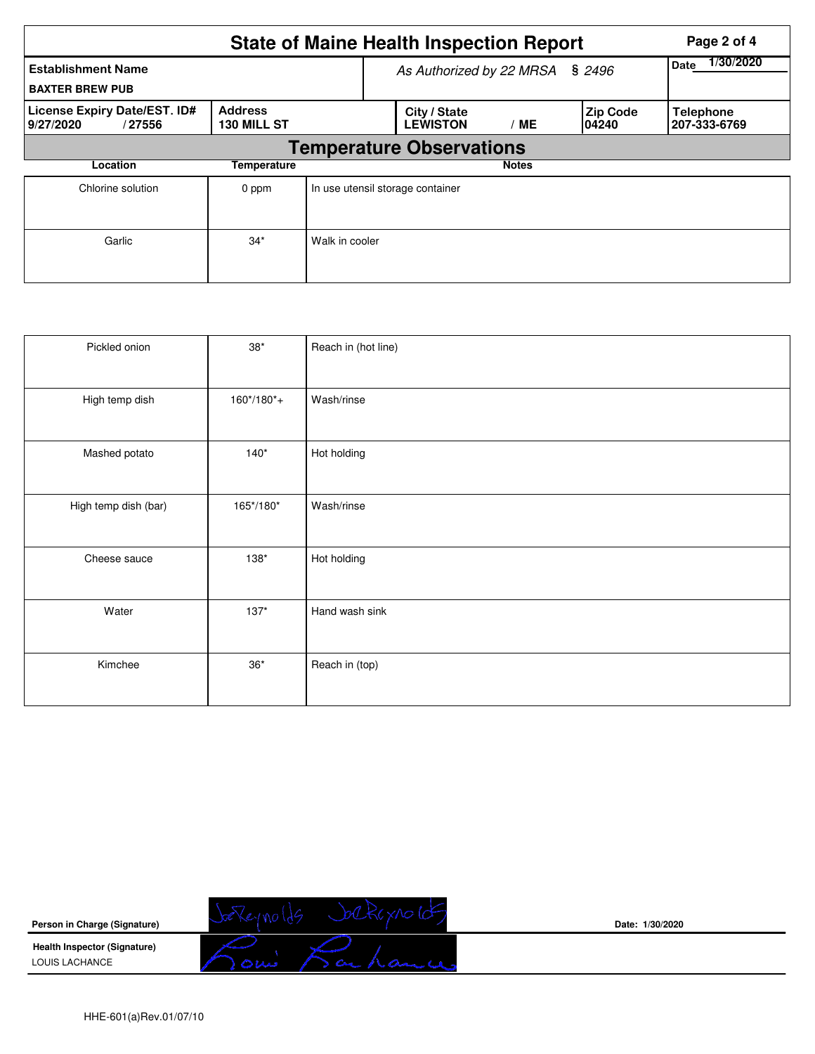|                                                     | Page 2 of 4                   |                                  |                                 |                          |                           |                                  |  |
|-----------------------------------------------------|-------------------------------|----------------------------------|---------------------------------|--------------------------|---------------------------|----------------------------------|--|
| <b>Establishment Name</b><br><b>BAXTER BREW PUB</b> |                               |                                  | As Authorized by 22 MRSA § 2496 | 1/30/2020<br><b>Date</b> |                           |                                  |  |
| License Expiry Date/EST. ID#<br>9/27/2020<br>/27556 | <b>Address</b><br>130 MILL ST |                                  |                                 | ' ME                     | <b>Zip Code</b><br>104240 | <b>Telephone</b><br>207-333-6769 |  |
|                                                     |                               |                                  | <b>Temperature Observations</b> |                          |                           |                                  |  |
| Location                                            | Temperature                   |                                  |                                 | <b>Notes</b>             |                           |                                  |  |
| Chlorine solution                                   | 0 ppm                         | In use utensil storage container |                                 |                          |                           |                                  |  |
| Garlic                                              | $34*$                         | Walk in cooler                   |                                 |                          |                           |                                  |  |

| Pickled onion        | $38^{\ast}$ | Reach in (hot line) |
|----------------------|-------------|---------------------|
|                      |             |                     |
| High temp dish       | $160*/180*$ | Wash/rinse          |
|                      |             |                     |
| Mashed potato        | $140*$      | Hot holding         |
|                      |             |                     |
| High temp dish (bar) | 165*/180*   | Wash/rinse          |
|                      |             |                     |
| Cheese sauce         | $138*$      | Hot holding         |
|                      |             |                     |
| Water                | $137*$      | Hand wash sink      |
|                      |             |                     |
| Kimchee              | $36^{\ast}$ | Reach in (top)      |
|                      |             |                     |



**Date: 1/30/2020**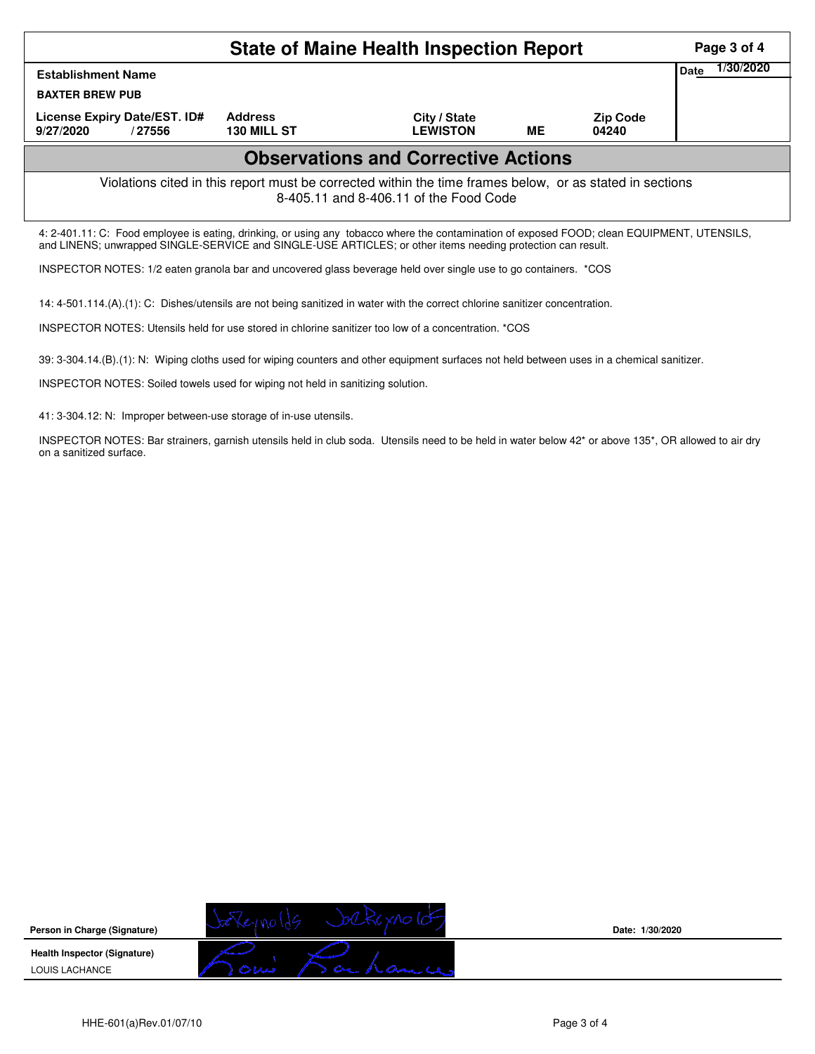|                                                                                                                                                                                                                                                            | Page 3 of 4                          |                                 |    |                          |  |  |  |  |  |
|------------------------------------------------------------------------------------------------------------------------------------------------------------------------------------------------------------------------------------------------------------|--------------------------------------|---------------------------------|----|--------------------------|--|--|--|--|--|
| <b>Establishment Name</b>                                                                                                                                                                                                                                  | 1/30/2020<br><b>Date</b>             |                                 |    |                          |  |  |  |  |  |
| <b>BAXTER BREW PUB</b>                                                                                                                                                                                                                                     |                                      |                                 |    |                          |  |  |  |  |  |
| License Expiry Date/EST. ID#<br>9/27/2020<br>/27556                                                                                                                                                                                                        | <b>Address</b><br><b>130 MILL ST</b> | City / State<br><b>LEWISTON</b> | ME | <b>Zip Code</b><br>04240 |  |  |  |  |  |
| <b>Observations and Corrective Actions</b>                                                                                                                                                                                                                 |                                      |                                 |    |                          |  |  |  |  |  |
| Violations cited in this report must be corrected within the time frames below, or as stated in sections<br>8-405.11 and 8-406.11 of the Food Code                                                                                                         |                                      |                                 |    |                          |  |  |  |  |  |
| 4: 2-401.11: C: Food employee is eating, drinking, or using any tobacco where the contamination of exposed FOOD; clean EQUIPMENT, UTENSILS,<br>and LINENS; unwrapped SINGLE-SERVICE and SINGLE-USE ARTICLES; or other items needing protection can result. |                                      |                                 |    |                          |  |  |  |  |  |
| INSPECTOR NOTES: 1/2 eaten granola bar and uncovered glass beverage held over single use to go containers. *COS                                                                                                                                            |                                      |                                 |    |                          |  |  |  |  |  |
| 14: 4-501.114.(A).(1): C: Dishes/utensils are not being sanitized in water with the correct chlorine sanitizer concentration.                                                                                                                              |                                      |                                 |    |                          |  |  |  |  |  |

39: 3-304.14.(B).(1): N: Wiping cloths used for wiping counters and other equipment surfaces not held between uses in a chemical sanitizer.

INSPECTOR NOTES: Bar strainers, garnish utensils held in club soda. Utensils need to be held in water below 42\* or above 135\*, OR allowed to air dry

INSPECTOR NOTES: Utensils held for use stored in chlorine sanitizer too low of a concentration. \*COS

INSPECTOR NOTES: Soiled towels used for wiping not held in sanitizing solution.

41: 3-304.12: N: Improper between-use storage of in-use utensils.

on a sanitized surface.

| Person in Charge (Signature)                          |                                            | Date: 1/30/2020 |
|-------------------------------------------------------|--------------------------------------------|-----------------|
| <b>Health Inspector (Signature)</b><br>LOUIS LACHANCE | وسلا (۲<br><b><i><u>Collection</u></i></b> |                 |